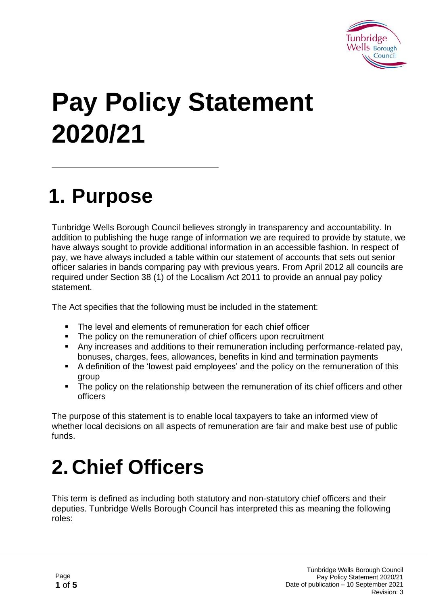

# **Pay Policy Statement 2020/21**

#### **1. Purpose**

Tunbridge Wells Borough Council believes strongly in transparency and accountability. In addition to publishing the huge range of information we are required to provide by statute, we have always sought to provide additional information in an accessible fashion. In respect of pay, we have always included a table within our statement of accounts that sets out senior officer salaries in bands comparing pay with previous years. From April 2012 all councils are required under Section 38 (1) of the Localism Act 2011 to provide an annual pay policy statement.

The Act specifies that the following must be included in the statement:

- The level and elements of remuneration for each chief officer
- The policy on the remuneration of chief officers upon recruitment
- Any increases and additions to their remuneration including performance-related pay, bonuses, charges, fees, allowances, benefits in kind and termination payments
- A definition of the 'lowest paid employees' and the policy on the remuneration of this group
- The policy on the relationship between the remuneration of its chief officers and other officers

The purpose of this statement is to enable local taxpayers to take an informed view of whether local decisions on all aspects of remuneration are fair and make best use of public funds.

# **2. Chief Officers**

This term is defined as including both statutory and non-statutory chief officers and their deputies. Tunbridge Wells Borough Council has interpreted this as meaning the following roles: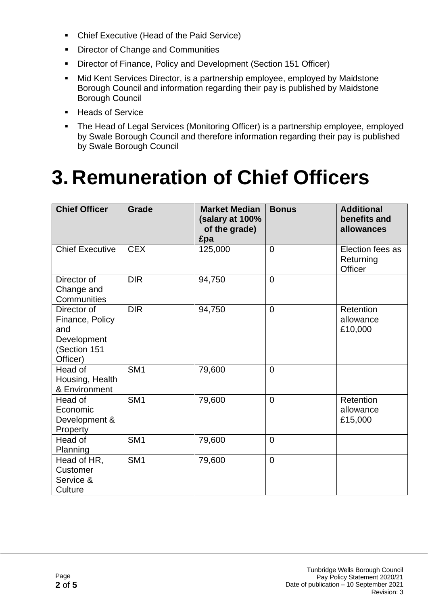- Chief Executive (Head of the Paid Service)
- Director of Change and Communities
- Director of Finance, Policy and Development (Section 151 Officer)
- Mid Kent Services Director, is a partnership employee, employed by Maidstone Borough Council and information regarding their pay is published by Maidstone Borough Council
- Heads of Service
- **The Head of Legal Services (Monitoring Officer) is a partnership employee, employed** by Swale Borough Council and therefore information regarding their pay is published by Swale Borough Council

#### **3. Remuneration of Chief Officers**

| <b>Chief Officer</b>                                                             | <b>Grade</b>    | <b>Market Median</b><br>(salary at 100%<br>of the grade)<br>£pa | <b>Bonus</b>   | <b>Additional</b><br>benefits and<br>allowances |
|----------------------------------------------------------------------------------|-----------------|-----------------------------------------------------------------|----------------|-------------------------------------------------|
| <b>Chief Executive</b>                                                           | <b>CEX</b>      | 125,000                                                         | $\overline{0}$ | Election fees as<br>Returning<br>Officer        |
| Director of<br>Change and<br>Communities                                         | <b>DIR</b>      | 94,750                                                          | $\overline{0}$ |                                                 |
| Director of<br>Finance, Policy<br>and<br>Development<br>(Section 151<br>Officer) | <b>DIR</b>      | 94,750                                                          | $\overline{0}$ | Retention<br>allowance<br>£10,000               |
| Head of<br>Housing, Health<br>& Environment                                      | SM <sub>1</sub> | 79,600                                                          | $\overline{0}$ |                                                 |
| Head of<br>Economic<br>Development &<br>Property                                 | SM <sub>1</sub> | 79,600                                                          | $\overline{0}$ | Retention<br>allowance<br>£15,000               |
| Head of<br>Planning                                                              | SM <sub>1</sub> | 79,600                                                          | $\overline{0}$ |                                                 |
| Head of HR,<br>Customer<br>Service &<br>Culture                                  | SM <sub>1</sub> | 79,600                                                          | $\overline{0}$ |                                                 |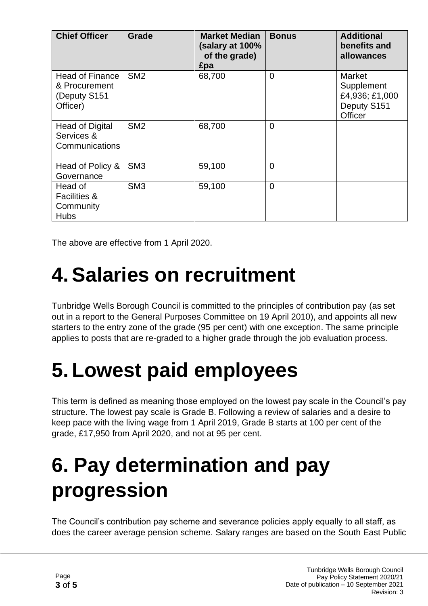| <b>Chief Officer</b>                                                | Grade           | <b>Market Median</b><br>(salary at 100%<br>of the grade)<br>£pa | <b>Bonus</b>   | <b>Additional</b><br>benefits and<br>allowances                  |
|---------------------------------------------------------------------|-----------------|-----------------------------------------------------------------|----------------|------------------------------------------------------------------|
| <b>Head of Finance</b><br>& Procurement<br>(Deputy S151<br>Officer) | SM <sub>2</sub> | 68,700                                                          | $\overline{0}$ | Market<br>Supplement<br>£4,936; £1,000<br>Deputy S151<br>Officer |
| <b>Head of Digital</b><br>Services &<br><b>Communications</b>       | SM <sub>2</sub> | 68,700                                                          | $\overline{0}$ |                                                                  |
| Head of Policy &<br>Governance                                      | SM <sub>3</sub> | 59,100                                                          | $\overline{0}$ |                                                                  |
| Head of<br><b>Facilities &amp;</b><br>Community<br><b>Hubs</b>      | SM <sub>3</sub> | 59,100                                                          | $\mathbf 0$    |                                                                  |

The above are effective from 1 April 2020.

#### **4. Salaries on recruitment**

Tunbridge Wells Borough Council is committed to the principles of contribution pay (as set out in a report to the General Purposes Committee on 19 April 2010), and appoints all new starters to the entry zone of the grade (95 per cent) with one exception. The same principle applies to posts that are re-graded to a higher grade through the job evaluation process.

### **5. Lowest paid employees**

This term is defined as meaning those employed on the lowest pay scale in the Council's pay structure. The lowest pay scale is Grade B. Following a review of salaries and a desire to keep pace with the living wage from 1 April 2019, Grade B starts at 100 per cent of the grade, £17,950 from April 2020, and not at 95 per cent.

# **6. Pay determination and pay progression**

The Council's contribution pay scheme and severance policies apply equally to all staff, as does the career average pension scheme. Salary ranges are based on the South East Public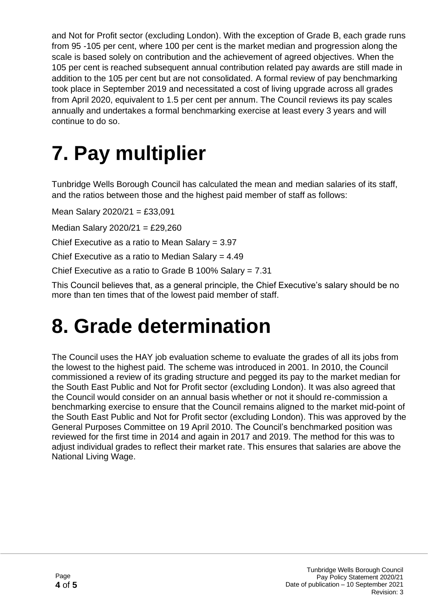and Not for Profit sector (excluding London). With the exception of Grade B, each grade runs from 95 -105 per cent, where 100 per cent is the market median and progression along the scale is based solely on contribution and the achievement of agreed objectives. When the 105 per cent is reached subsequent annual contribution related pay awards are still made in addition to the 105 per cent but are not consolidated. A formal review of pay benchmarking took place in September 2019 and necessitated a cost of living upgrade across all grades from April 2020, equivalent to 1.5 per cent per annum. The Council reviews its pay scales annually and undertakes a formal benchmarking exercise at least every 3 years and will continue to do so.

### **7. Pay multiplier**

Tunbridge Wells Borough Council has calculated the mean and median salaries of its staff, and the ratios between those and the highest paid member of staff as follows:

Mean Salary 2020/21 = £33,091

Median Salary 2020/21 = £29,260

Chief Executive as a ratio to Mean Salary = 3.97

Chief Executive as a ratio to Median Salary = 4.49

Chief Executive as a ratio to Grade B 100% Salary = 7.31

This Council believes that, as a general principle, the Chief Executive's salary should be no more than ten times that of the lowest paid member of staff.

#### **8. Grade determination**

The Council uses the HAY job evaluation scheme to evaluate the grades of all its jobs from the lowest to the highest paid. The scheme was introduced in 2001. In 2010, the Council commissioned a review of its grading structure and pegged its pay to the market median for the South East Public and Not for Profit sector (excluding London). It was also agreed that the Council would consider on an annual basis whether or not it should re-commission a benchmarking exercise to ensure that the Council remains aligned to the market mid-point of the South East Public and Not for Profit sector (excluding London). This was approved by the General Purposes Committee on 19 April 2010. The Council's benchmarked position was reviewed for the first time in 2014 and again in 2017 and 2019. The method for this was to adjust individual grades to reflect their market rate. This ensures that salaries are above the National Living Wage.